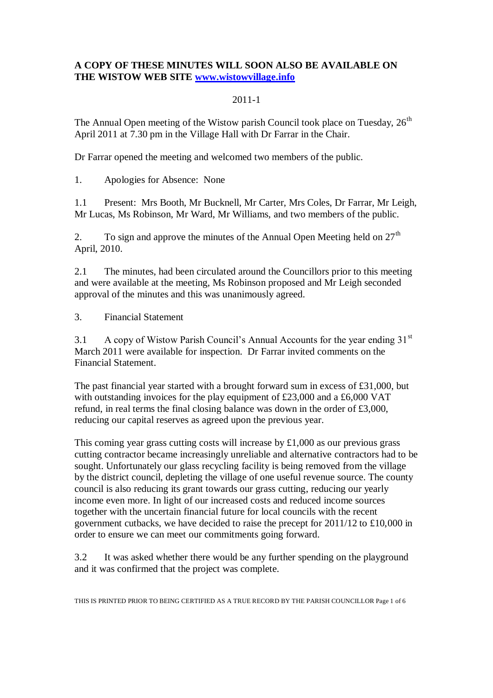## **A COPY OF THESE MINUTES WILL SOON ALSO BE AVAILABLE ON THE WISTOW WEB SITE [www.wistowvillage.info](http://www.wistowvillage.info/)**

## 2011-1

The Annual Open meeting of the Wistow parish Council took place on Tuesday,  $26<sup>th</sup>$ April 2011 at 7.30 pm in the Village Hall with Dr Farrar in the Chair.

Dr Farrar opened the meeting and welcomed two members of the public.

1. Apologies for Absence: None

1.1 Present: Mrs Booth, Mr Bucknell, Mr Carter, Mrs Coles, Dr Farrar, Mr Leigh, Mr Lucas, Ms Robinson, Mr Ward, Mr Williams, and two members of the public.

2. To sign and approve the minutes of the Annual Open Meeting held on  $27<sup>th</sup>$ April, 2010.

2.1 The minutes, had been circulated around the Councillors prior to this meeting and were available at the meeting, Ms Robinson proposed and Mr Leigh seconded approval of the minutes and this was unanimously agreed.

3. Financial Statement

3.1 A copy of Wistow Parish Council's Annual Accounts for the year ending 31<sup>st</sup> March 2011 were available for inspection. Dr Farrar invited comments on the Financial Statement.

The past financial year started with a brought forward sum in excess of  $\text{\pounds}31,000$ , but with outstanding invoices for the play equipment of £23,000 and a £6,000 VAT refund, in real terms the final closing balance was down in the order of £3,000, reducing our capital reserves as agreed upon the previous year.

This coming year grass cutting costs will increase by £1,000 as our previous grass cutting contractor became increasingly unreliable and alternative contractors had to be sought. Unfortunately our glass recycling facility is being removed from the village by the district council, depleting the village of one useful revenue source. The county council is also reducing its grant towards our grass cutting, reducing our yearly income even more. In light of our increased costs and reduced income sources together with the uncertain financial future for local councils with the recent government cutbacks, we have decided to raise the precept for 2011/12 to £10,000 in order to ensure we can meet our commitments going forward.

3.2 It was asked whether there would be any further spending on the playground and it was confirmed that the project was complete.

THIS IS PRINTED PRIOR TO BEING CERTIFIED AS A TRUE RECORD BY THE PARISH COUNCILLOR Page 1 of 6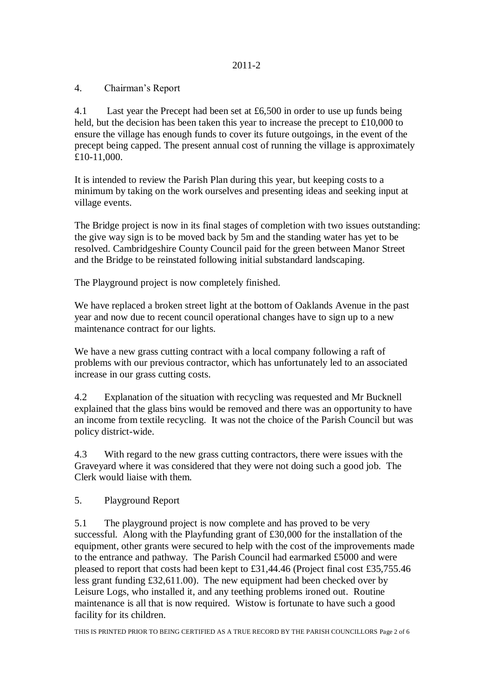4. Chairman"s Report

4.1 Last year the Precept had been set at £6,500 in order to use up funds being held, but the decision has been taken this year to increase the precept to £10,000 to ensure the village has enough funds to cover its future outgoings, in the event of the precept being capped. The present annual cost of running the village is approximately £10-11,000.

It is intended to review the Parish Plan during this year, but keeping costs to a minimum by taking on the work ourselves and presenting ideas and seeking input at village events.

The Bridge project is now in its final stages of completion with two issues outstanding: the give way sign is to be moved back by 5m and the standing water has yet to be resolved. Cambridgeshire County Council paid for the green between Manor Street and the Bridge to be reinstated following initial substandard landscaping.

The Playground project is now completely finished.

We have replaced a broken street light at the bottom of Oaklands Avenue in the past year and now due to recent council operational changes have to sign up to a new maintenance contract for our lights.

We have a new grass cutting contract with a local company following a raft of problems with our previous contractor, which has unfortunately led to an associated increase in our grass cutting costs.

4.2 Explanation of the situation with recycling was requested and Mr Bucknell explained that the glass bins would be removed and there was an opportunity to have an income from textile recycling. It was not the choice of the Parish Council but was policy district-wide.

4.3 With regard to the new grass cutting contractors, there were issues with the Graveyard where it was considered that they were not doing such a good job. The Clerk would liaise with them.

5. Playground Report

5.1 The playground project is now complete and has proved to be very successful. Along with the Playfunding grant of £30,000 for the installation of the equipment, other grants were secured to help with the cost of the improvements made to the entrance and pathway. The Parish Council had earmarked £5000 and were pleased to report that costs had been kept to £31,44.46 (Project final cost £35,755.46 less grant funding £32,611.00). The new equipment had been checked over by Leisure Logs, who installed it, and any teething problems ironed out. Routine maintenance is all that is now required. Wistow is fortunate to have such a good facility for its children.

THIS IS PRINTED PRIOR TO BEING CERTIFIED AS A TRUE RECORD BY THE PARISH COUNCILLORS Page 2 of 6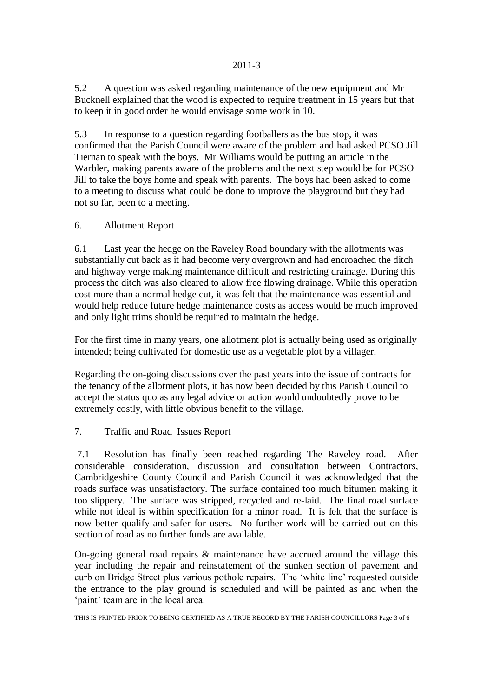5.2 A question was asked regarding maintenance of the new equipment and Mr Bucknell explained that the wood is expected to require treatment in 15 years but that to keep it in good order he would envisage some work in 10.

5.3 In response to a question regarding footballers as the bus stop, it was confirmed that the Parish Council were aware of the problem and had asked PCSO Jill Tiernan to speak with the boys. Mr Williams would be putting an article in the Warbler, making parents aware of the problems and the next step would be for PCSO Jill to take the boys home and speak with parents. The boys had been asked to come to a meeting to discuss what could be done to improve the playground but they had not so far, been to a meeting.

## 6. Allotment Report

6.1 Last year the hedge on the Raveley Road boundary with the allotments was substantially cut back as it had become very overgrown and had encroached the ditch and highway verge making maintenance difficult and restricting drainage. During this process the ditch was also cleared to allow free flowing drainage. While this operation cost more than a normal hedge cut, it was felt that the maintenance was essential and would help reduce future hedge maintenance costs as access would be much improved and only light trims should be required to maintain the hedge.

For the first time in many years, one allotment plot is actually being used as originally intended; being cultivated for domestic use as a vegetable plot by a villager.

Regarding the on-going discussions over the past years into the issue of contracts for the tenancy of the allotment plots, it has now been decided by this Parish Council to accept the status quo as any legal advice or action would undoubtedly prove to be extremely costly, with little obvious benefit to the village.

# 7. Traffic and Road Issues Report

7.1 Resolution has finally been reached regarding The Raveley road. After considerable consideration, discussion and consultation between Contractors, Cambridgeshire County Council and Parish Council it was acknowledged that the roads surface was unsatisfactory. The surface contained too much bitumen making it too slippery. The surface was stripped, recycled and re-laid. The final road surface while not ideal is within specification for a minor road. It is felt that the surface is now better qualify and safer for users. No further work will be carried out on this section of road as no further funds are available.

On-going general road repairs & maintenance have accrued around the village this year including the repair and reinstatement of the sunken section of pavement and curb on Bridge Street plus various pothole repairs. The "white line" requested outside the entrance to the play ground is scheduled and will be painted as and when the 'paint' team are in the local area.

THIS IS PRINTED PRIOR TO BEING CERTIFIED AS A TRUE RECORD BY THE PARISH COUNCILLORS Page 3 of 6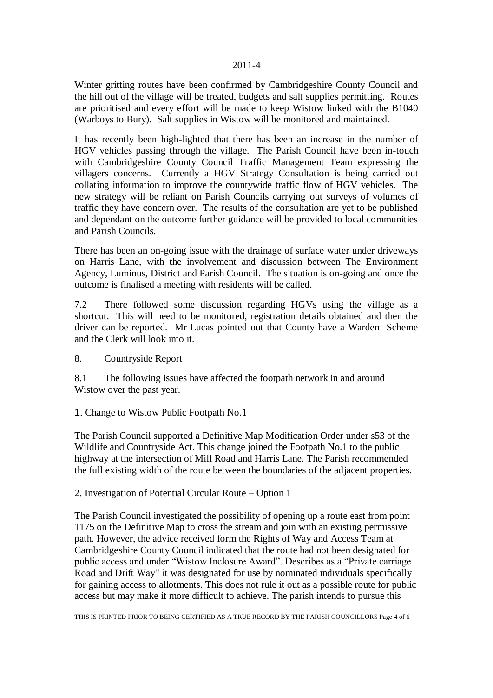Winter gritting routes have been confirmed by Cambridgeshire County Council and the hill out of the village will be treated, budgets and salt supplies permitting. Routes are prioritised and every effort will be made to keep Wistow linked with the B1040 (Warboys to Bury). Salt supplies in Wistow will be monitored and maintained.

It has recently been high-lighted that there has been an increase in the number of HGV vehicles passing through the village. The Parish Council have been in-touch with Cambridgeshire County Council Traffic Management Team expressing the villagers concerns. Currently a HGV Strategy Consultation is being carried out collating information to improve the countywide traffic flow of HGV vehicles. The new strategy will be reliant on Parish Councils carrying out surveys of volumes of traffic they have concern over. The results of the consultation are yet to be published and dependant on the outcome further guidance will be provided to local communities and Parish Councils.

There has been an on-going issue with the drainage of surface water under driveways on Harris Lane, with the involvement and discussion between The Environment Agency, Luminus, District and Parish Council. The situation is on-going and once the outcome is finalised a meeting with residents will be called.

7.2 There followed some discussion regarding HGVs using the village as a shortcut. This will need to be monitored, registration details obtained and then the driver can be reported. Mr Lucas pointed out that County have a Warden Scheme and the Clerk will look into it.

8. Countryside Report

8.1 The following issues have affected the footpath network in and around Wistow over the past year.

#### 1. Change to Wistow Public Footpath No.1

The Parish Council supported a Definitive Map Modification Order under s53 of the Wildlife and Countryside Act. This change joined the Footpath No.1 to the public highway at the intersection of Mill Road and Harris Lane. The Parish recommended the full existing width of the route between the boundaries of the adjacent properties.

#### 2. Investigation of Potential Circular Route – Option 1

The Parish Council investigated the possibility of opening up a route east from point 1175 on the Definitive Map to cross the stream and join with an existing permissive path. However, the advice received form the Rights of Way and Access Team at Cambridgeshire County Council indicated that the route had not been designated for public access and under "Wistow Inclosure Award". Describes as a "Private carriage Road and Drift Way" it was designated for use by nominated individuals specifically for gaining access to allotments. This does not rule it out as a possible route for public access but may make it more difficult to achieve. The parish intends to pursue this

THIS IS PRINTED PRIOR TO BEING CERTIFIED AS A TRUE RECORD BY THE PARISH COUNCILLORS Page 4 of 6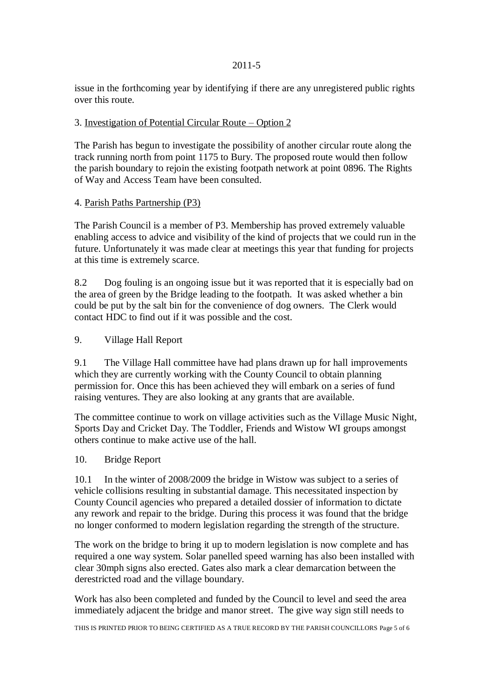issue in the forthcoming year by identifying if there are any unregistered public rights over this route.

# 3. Investigation of Potential Circular Route – Option 2

The Parish has begun to investigate the possibility of another circular route along the track running north from point 1175 to Bury. The proposed route would then follow the parish boundary to rejoin the existing footpath network at point 0896. The Rights of Way and Access Team have been consulted.

## 4. Parish Paths Partnership (P3)

The Parish Council is a member of P3. Membership has proved extremely valuable enabling access to advice and visibility of the kind of projects that we could run in the future. Unfortunately it was made clear at meetings this year that funding for projects at this time is extremely scarce.

8.2 Dog fouling is an ongoing issue but it was reported that it is especially bad on the area of green by the Bridge leading to the footpath. It was asked whether a bin could be put by the salt bin for the convenience of dog owners. The Clerk would contact HDC to find out if it was possible and the cost.

9. Village Hall Report

9.1 The Village Hall committee have had plans drawn up for hall improvements which they are currently working with the County Council to obtain planning permission for. Once this has been achieved they will embark on a series of fund raising ventures. They are also looking at any grants that are available.

The committee continue to work on village activities such as the Village Music Night, Sports Day and Cricket Day. The Toddler, Friends and Wistow WI groups amongst others continue to make active use of the hall.

#### 10. Bridge Report

10.1 In the winter of 2008/2009 the bridge in Wistow was subject to a series of vehicle collisions resulting in substantial damage. This necessitated inspection by County Council agencies who prepared a detailed dossier of information to dictate any rework and repair to the bridge. During this process it was found that the bridge no longer conformed to modern legislation regarding the strength of the structure.

The work on the bridge to bring it up to modern legislation is now complete and has required a one way system. Solar panelled speed warning has also been installed with clear 30mph signs also erected. Gates also mark a clear demarcation between the derestricted road and the village boundary.

Work has also been completed and funded by the Council to level and seed the area immediately adjacent the bridge and manor street. The give way sign still needs to

THIS IS PRINTED PRIOR TO BEING CERTIFIED AS A TRUE RECORD BY THE PARISH COUNCILLORS Page 5 of 6